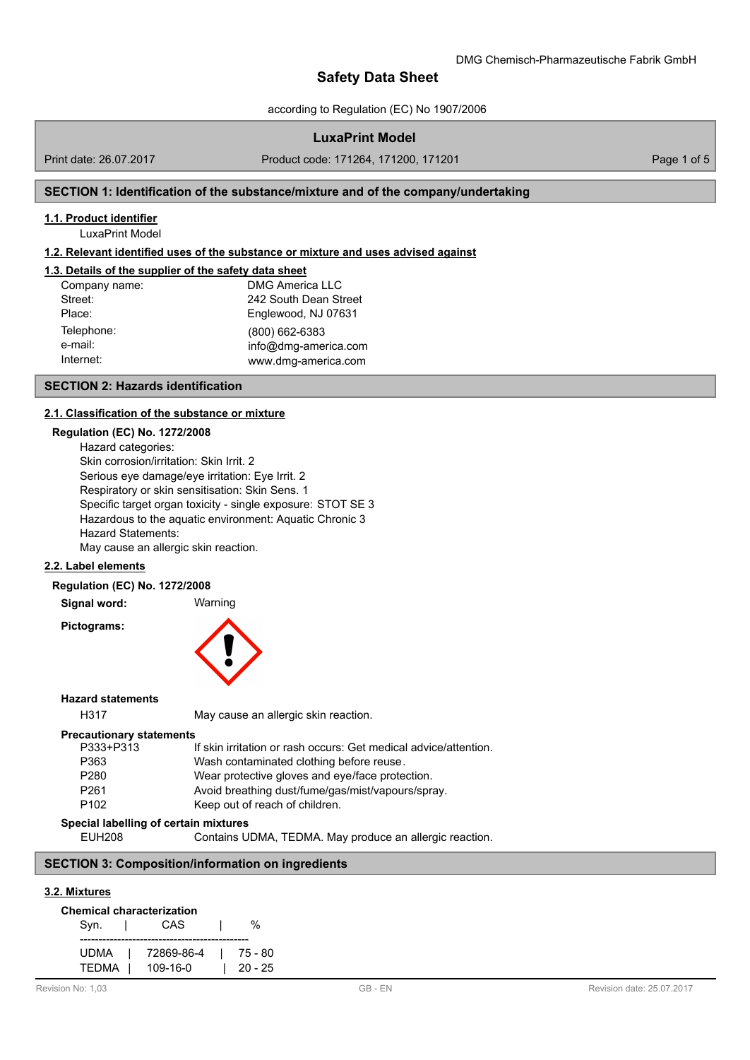according to Regulation (EC) No 1907/2006

# **LuxaPrint Model**

Print date: 26.07.2017 Product code: 171264, 171200, 171201 Page 1 of 5

# **SECTION 1: Identification of the substance/mixture and of the company/undertaking**

### **1.1. Product identifier**

LuxaPrint Model

### **1.2. Relevant identified uses of the substance or mixture and uses advised against**

# **1.3. Details of the supplier of the safety data sheet**

| Company name: | <b>DMG America LLC</b> |  |  |
|---------------|------------------------|--|--|
| Street:       | 242 South Dean Street  |  |  |
| Place:        | Englewood, NJ 07631    |  |  |
| Telephone:    | (800) 662-6383         |  |  |
| e-mail:       | info@dmg-america.com   |  |  |
| Internet:     | www.dmg-america.com    |  |  |

#### **SECTION 2: Hazards identification**

#### **2.1. Classification of the substance or [mixture](mailto:info@dmg-dental.com)**

# **Regulation (EC) No. 1272/2008**

Hazard categories: Skin corrosion/irritation: Skin Irrit. 2 Serious eye damage/eye irritation: Eye Irrit. 2 Respiratory or skin sensitisation: Skin Sens. 1 Specific target organ toxicity - single exposure: STOT SE 3 Hazardous to the aquatic environment: Aquatic Chronic 3 Hazard Statements: May cause an allergic skin reaction.

**2.2. Label elements**

#### **Regulation (EC) No. 1272/2008**

**Signal word:** Warning

**Pictograms:**



### **Hazard statements**

H317 May cause an allergic skin reaction.

#### **Precautionary statements**

| P333+P313        | If skin irritation or rash occurs: Get medical advice/attention. |
|------------------|------------------------------------------------------------------|
| P363             | Wash contaminated clothing before reuse.                         |
| P <sub>280</sub> | Wear protective gloves and eye/face protection.                  |
| P <sub>261</sub> | Avoid breathing dust/fume/gas/mist/vapours/spray.                |
| P <sub>102</sub> | Keep out of reach of children.                                   |
|                  |                                                                  |

#### **Special labelling of certain mixtures**

EUH208 Contains UDMA, TEDMA. May produce an allergic reaction.

# **SECTION 3: Composition/information on ingredients**

#### **3.2. Mixtures**

| <b>Chemical characterization</b> |            |  |         |  |  |  |
|----------------------------------|------------|--|---------|--|--|--|
| Syn.                             | CAS        |  | %       |  |  |  |
| UDMA                             | 72869-86-4 |  | 75 - 80 |  |  |  |
| TEDMA                            | 109-16-0   |  | 20 - 25 |  |  |  |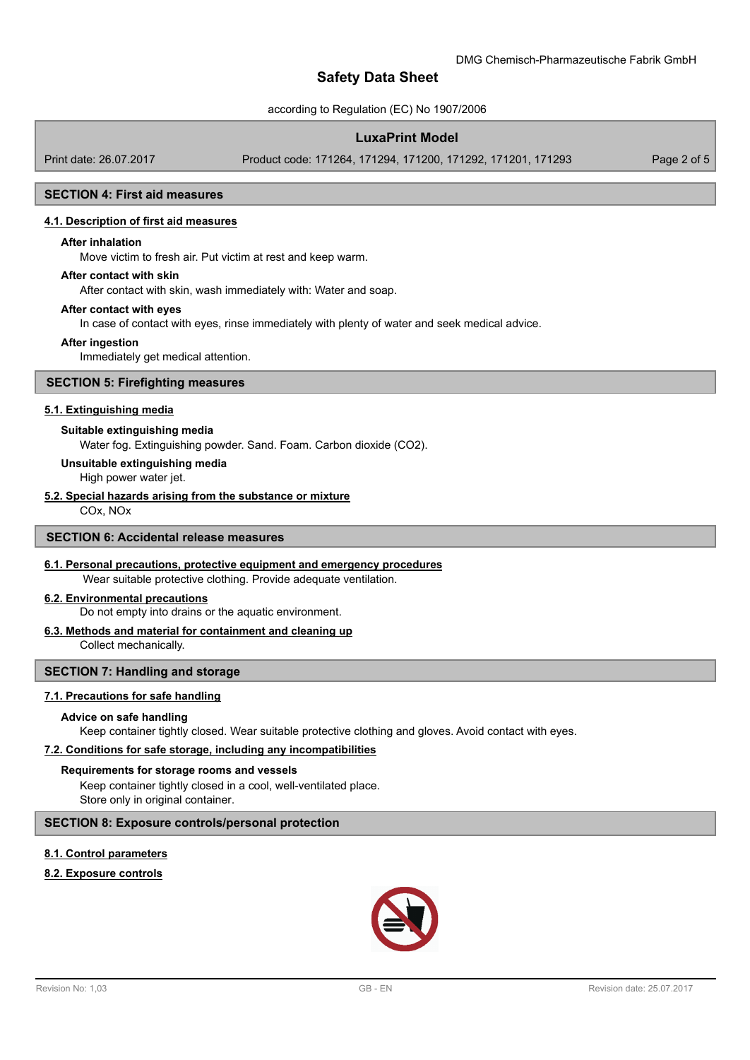according to Regulation (EC) No 1907/2006

# **LuxaPrint Model**

Print date: 26.07.2017 Product code: 171264, 171294, 171200, 171292, 171201, 171293 Page 2 of 5

#### **SECTION 4: First aid measures**

#### **4.1. Description of first aid measures**

#### **After inhalation**

Move victim to fresh air. Put victim at rest and keep warm.

### **After contact with skin**

After contact with skin, wash immediately with: Water and soap.

#### **After contact with eyes**

In case of contact with eyes, rinse immediately with plenty of water and seek medical advice.

#### **After ingestion**

Immediately get medical attention.

### **SECTION 5: Firefighting measures**

#### **5.1. Extinguishing media**

#### **Suitable extinguishing media**

Water fog. Extinguishing powder. Sand. Foam. Carbon dioxide (CO2).

#### **Unsuitable extinguishing media**

High power water jet.

# **5.2. Special hazards arising from the substance or mixture**

COx, NOx

### **SECTION 6: Accidental release measures**

#### **6.1. Personal precautions, protective equipment and emergency procedures**

Wear suitable protective clothing. Provide adequate ventilation.

### **6.2. Environmental precautions**

Do not empty into drains or the aquatic environment.

# **6.3. Methods and material for containment and cleaning up**

Collect mechanically.

### **SECTION 7: Handling and storage**

#### **7.1. Precautions for safe handling**

#### **Advice on safe handling**

Keep container tightly closed. Wear suitable protective clothing and gloves. Avoid contact with eyes.

# **7.2. Conditions for safe storage, including any incompatibilities**

# **Requirements for storage rooms and vessels**

Keep container tightly closed in a cool, well-ventilated place. Store only in original container.

# **SECTION 8: Exposure controls/personal protection**

# **8.1. Control parameters**

# **8.2. Exposure controls**

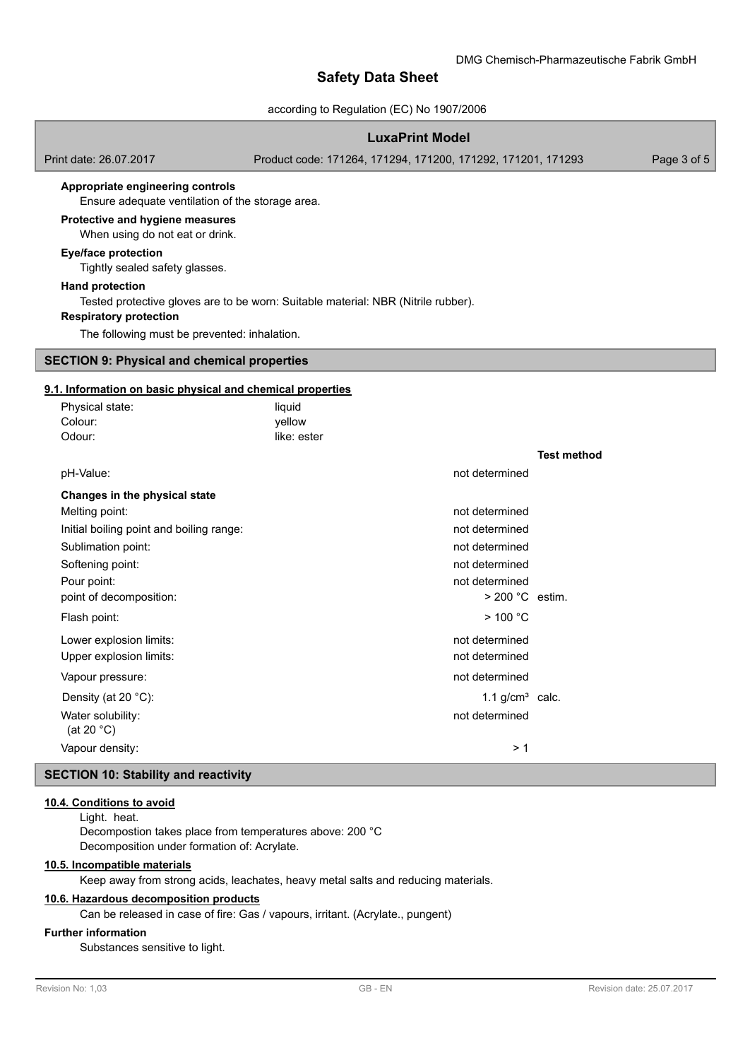### according to Regulation (EC) No 1907/2006

# **LuxaPrint Model**

Print date: 26.07.2017 Product code: 171264, 171294, 171200, 171292, 171201, 171293 Page 3 of 5

#### **Appropriate engineering controls**

Ensure adequate ventilation of the storage area.

#### **Protective and hygiene measures**

When using do not eat or drink.

### **Eye/face protection**

Tightly sealed safety glasses.

#### **Hand protection**

Tested protective gloves are to be worn: Suitable material: NBR (Nitrile rubber).

### **Respiratory protection**

The following must be prevented: inhalation.

### **SECTION 9: Physical and chemical properties**

# **9.1. Information on basic physical and chemical properties**

| Physical state:<br>Colour:               | liquid<br>yellow |                   |                    |
|------------------------------------------|------------------|-------------------|--------------------|
| Odour:                                   | like: ester      |                   |                    |
|                                          |                  |                   | <b>Test method</b> |
| pH-Value:                                |                  | not determined    |                    |
| Changes in the physical state            |                  |                   |                    |
| Melting point:                           |                  | not determined    |                    |
| Initial boiling point and boiling range: |                  | not determined    |                    |
| Sublimation point:                       |                  | not determined    |                    |
| Softening point:                         |                  | not determined    |                    |
| Pour point:                              |                  | not determined    |                    |
| point of decomposition:                  |                  | $>$ 200 °C estim. |                    |
| Flash point:                             |                  | $>$ 100 °C        |                    |
| Lower explosion limits:                  |                  | not determined    |                    |
| Upper explosion limits:                  |                  | not determined    |                    |
| Vapour pressure:                         |                  | not determined    |                    |
| Density (at 20 °C):                      |                  | 1.1 $g/cm3$ calc. |                    |
| Water solubility:<br>(at 20 $°C$ )       |                  | not determined    |                    |
| Vapour density:                          |                  | > 1               |                    |
|                                          |                  |                   |                    |

# **SECTION 10: Stability and reactivity**

## **10.4. Conditions to avoid**

Light. heat.

Decompostion takes place from temperatures above: 200 °C Decomposition under formation of: Acrylate.

# **10.5. Incompatible materials**

Keep away from strong acids, leachates, heavy metal salts and reducing materials.

### **10.6. Hazardous decomposition products**

Can be released in case of fire: Gas / vapours, irritant. (Acrylate., pungent)

## **Further information**

Substances sensitive to light.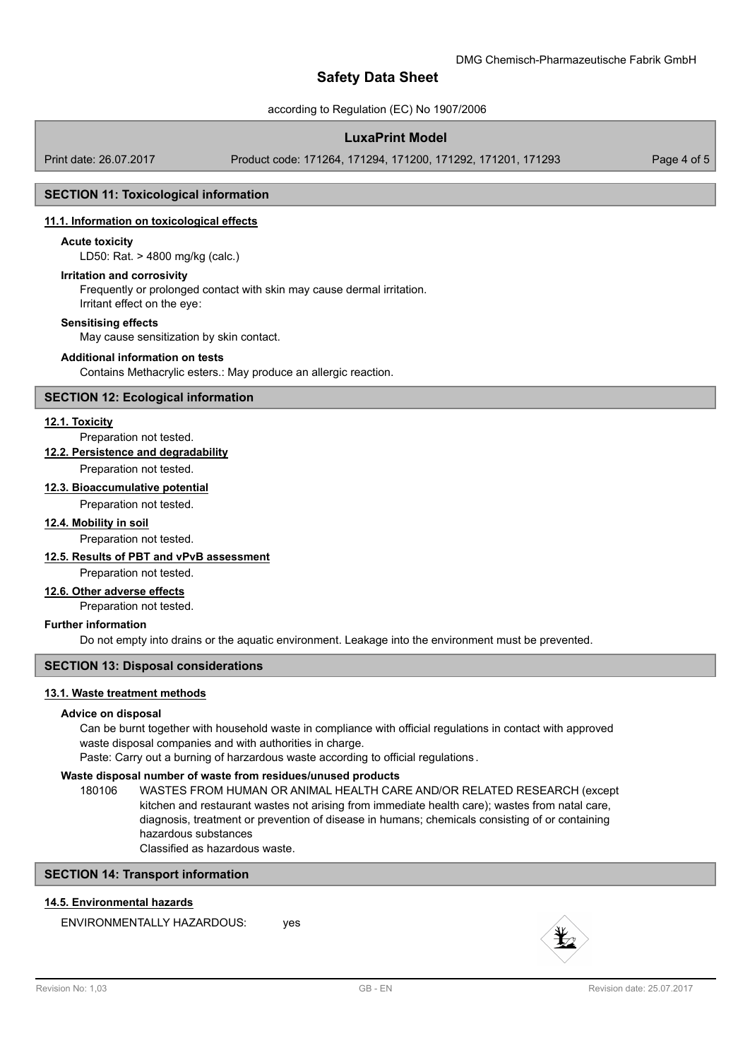according to Regulation (EC) No 1907/2006

# **LuxaPrint Model**

Print date: 26.07.2017 Product code: 171264, 171294, 171200, 171292, 171201, 171293 Page 4 of 5

# **SECTION 11: Toxicological information**

### **11.1. Information on toxicological effects**

### **Acute toxicity**

LD50: Rat. > 4800 mg/kg (calc.)

#### **Irritation and corrosivity**

Frequently or prolonged contact with skin may cause dermal irritation. Irritant effect on the eye:

#### **Sensitising effects**

May cause sensitization by skin contact.

### **Additional information on tests**

Contains Methacrylic esters.: May produce an allergic reaction.

### **SECTION 12: Ecological information**

### **12.1. Toxicity**

Preparation not tested.

### **12.2. Persistence and degradability**

Preparation not tested.

# **12.3. Bioaccumulative potential**

Preparation not tested.

### **12.4. Mobility in soil**

Preparation not tested.

# **12.5. Results of PBT and vPvB assessment**

Preparation not tested.

# **12.6. Other adverse effects**

Preparation not tested.

### **Further information**

Do not empty into drains or the aquatic environment. Leakage into the environment must be prevented.

### **SECTION 13: Disposal considerations**

# **13.1. Waste treatment methods**

# **Advice on disposal**

Can be burnt together with household waste in compliance with official regulations in contact with approved waste disposal companies and with authorities in charge.

Paste: Carry out a burning of harzardous waste according to official regulations .

# **Waste disposal number of waste from residues/unused products**

180106 WASTES FROM HUMAN OR ANIMAL HEALTH CARE AND/OR RELATED RESEARCH (except kitchen and restaurant wastes not arising from immediate health care); wastes from natal care, diagnosis, treatment or prevention of disease in humans; chemicals consisting of or containing hazardous substances

Classified as hazardous waste.

# **SECTION 14: Transport information**

# **14.5. Environmental hazards**

ENVIRONMENTALLY HAZARDOUS: ves